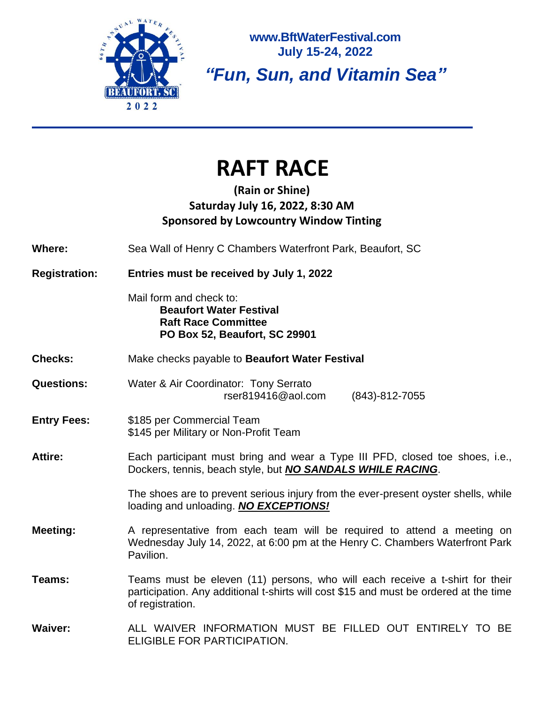

**www.BftWaterFestival.com July 15-24, 2022**

*"Fun, Sun, and Vitamin Sea"*

## **RAFT RACE**

### **(Rain or Shine) Saturday July 16, 2022, 8:30 AM Sponsored by Lowcountry Window Tinting**

**Where:** Sea Wall of Henry C Chambers Waterfront Park, Beaufort, SC

**Registration: Entries must be received by July 1, 2022**

Mail form and check to: **Beaufort Water Festival Raft Race Committee PO Box 52, Beaufort, SC 29901**

**Checks:** Make checks payable to **Beaufort Water Festival**

**Questions:** Water & Air Coordinator: Tony Serrato rser819416@aol.com (843)-812-7055

#### **Entry Fees:** \$185 per Commercial Team \$145 per Military or Non-Profit Team

#### Attire: Each participant must bring and wear a Type III PFD, closed toe shoes, i.e., Dockers, tennis, beach style, but *NO SANDALS WHILE RACING*.

The shoes are to prevent serious injury from the ever-present oyster shells, while loading and unloading. *NO EXCEPTIONS!*

**Meeting:** A representative from each team will be required to attend a meeting on Wednesday July 14, 2022, at 6:00 pm at the Henry C. Chambers Waterfront Park Pavilion.

**Teams:** Teams must be eleven (11) persons, who will each receive a t-shirt for their participation. Any additional t-shirts will cost \$15 and must be ordered at the time of registration.

**Waiver:** ALL WAIVER INFORMATION MUST BE FILLED OUT ENTIRELY TO BE ELIGIBLE FOR PARTICIPATION.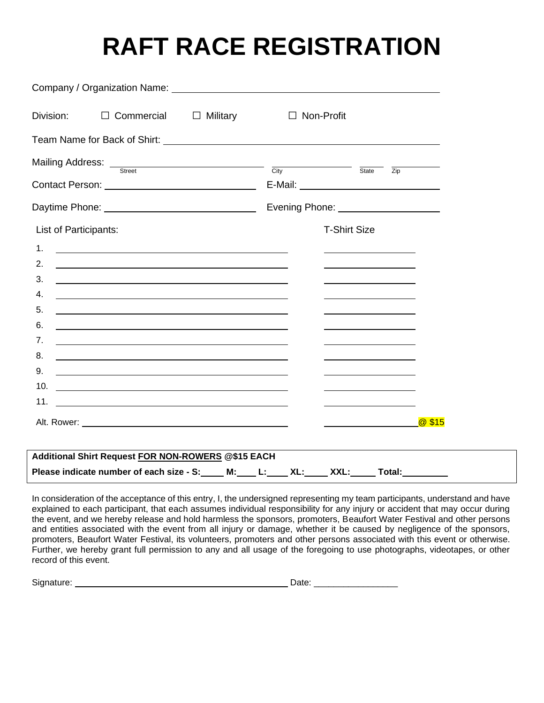# **RAFT RACE REGISTRATION**

| Division: $\Box$ Commercial $\Box$ Military $\Box$ Non-Profit                                                                |                                                             |
|------------------------------------------------------------------------------------------------------------------------------|-------------------------------------------------------------|
|                                                                                                                              |                                                             |
| Mailing Address: <u>Street Street City</u> City State Zip                                                                    |                                                             |
|                                                                                                                              |                                                             |
| Daytime Phone: ___________________________________                                                                           | Evening Phone: _____________________                        |
| List of Participants:                                                                                                        | <b>T-Shirt Size</b>                                         |
| 1.<br><u> 1989 - Johann Stein, mars an deus Amerikaansk kommunister (</u>                                                    |                                                             |
| 2.<br><u> 1989 - Johann Barn, mars and de Branch Barn, mars and de Branch Barn, mars and de Branch Barn, mars and de Br</u>  |                                                             |
| 3.<br><u> 1989 - Jan Stern Harry Harry Harry Harry Harry Harry Harry Harry Harry Harry Harry Harry Harry Harry Harry Ha</u>  | <u> 1989 - Johann Stoff, Amerikaansk politiker (</u>        |
| 4.<br><u> 1989 - Johann Barn, fransk politik (d. 1989)</u>                                                                   |                                                             |
| 5.<br><u> 2000 - Andrea Andrew Maria (h. 1878).</u><br>6.                                                                    |                                                             |
| 7.<br><u> 1989 - Johann Barn, fransk politik (d. 1989)</u>                                                                   | <u> 1989 - Johann Barbara, martxa al III-lea (h. 1989).</u> |
| 8.<br><u> 1989 - Johann Stoff, deutscher Stoffen und der Stoffen und der Stoffen und der Stoffen und der Stoffen und der</u> |                                                             |
| 9.                                                                                                                           |                                                             |
|                                                                                                                              |                                                             |
|                                                                                                                              |                                                             |
|                                                                                                                              |                                                             |
|                                                                                                                              |                                                             |
| Additional Shirt Request FOR NON-ROWERS @\$15 EACH                                                                           |                                                             |
| Please indicate number of each size - S: ____ M: ___ L: ____ XL: ____ XXL: _____ Total: ________                             |                                                             |

In consideration of the acceptance of this entry, I, the undersigned representing my team participants, understand and have explained to each participant, that each assumes individual responsibility for any injury or accident that may occur during the event, and we hereby release and hold harmless the sponsors, promoters, Beaufort Water Festival and other persons and entities associated with the event from all injury or damage, whether it be caused by negligence of the sponsors, promoters, Beaufort Water Festival, its volunteers, promoters and other persons associated with this event or otherwise. Further, we hereby grant full permission to any and all usage of the foregoing to use photographs, videotapes, or other record of this event.

| Signature: | .<br>. |  |
|------------|--------|--|
|            |        |  |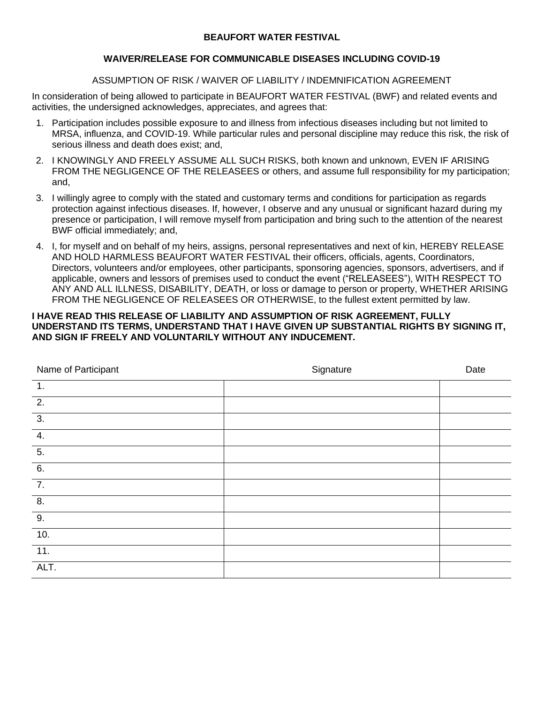#### **BEAUFORT WATER FESTIVAL**

#### **WAIVER/RELEASE FOR COMMUNICABLE DISEASES INCLUDING COVID-19**

#### ASSUMPTION OF RISK / WAIVER OF LIABILITY / INDEMNIFICATION AGREEMENT

In consideration of being allowed to participate in BEAUFORT WATER FESTIVAL (BWF) and related events and activities, the undersigned acknowledges, appreciates, and agrees that:

- 1. Participation includes possible exposure to and illness from infectious diseases including but not limited to MRSA, influenza, and COVID-19. While particular rules and personal discipline may reduce this risk, the risk of serious illness and death does exist; and,
- 2. I KNOWINGLY AND FREELY ASSUME ALL SUCH RISKS, both known and unknown, EVEN IF ARISING FROM THE NEGLIGENCE OF THE RELEASEES or others, and assume full responsibility for my participation; and,
- 3. I willingly agree to comply with the stated and customary terms and conditions for participation as regards protection against infectious diseases. If, however, I observe and any unusual or significant hazard during my presence or participation, I will remove myself from participation and bring such to the attention of the nearest BWF official immediately; and,
- 4. I, for myself and on behalf of my heirs, assigns, personal representatives and next of kin, HEREBY RELEASE AND HOLD HARMLESS BEAUFORT WATER FESTIVAL their officers, officials, agents, Coordinators, Directors, volunteers and/or employees, other participants, sponsoring agencies, sponsors, advertisers, and if applicable, owners and lessors of premises used to conduct the event ("RELEASEES"), WITH RESPECT TO ANY AND ALL ILLNESS, DISABILITY, DEATH, or loss or damage to person or property, WHETHER ARISING FROM THE NEGLIGENCE OF RELEASEES OR OTHERWISE, to the fullest extent permitted by law.

#### **I HAVE READ THIS RELEASE OF LIABILITY AND ASSUMPTION OF RISK AGREEMENT, FULLY UNDERSTAND ITS TERMS, UNDERSTAND THAT I HAVE GIVEN UP SUBSTANTIAL RIGHTS BY SIGNING IT, AND SIGN IF FREELY AND VOLUNTARILY WITHOUT ANY INDUCEMENT.**

| Name of Participant | Signature | Date |
|---------------------|-----------|------|
| $\overline{1}$ .    |           |      |
| $\overline{2}$ .    |           |      |
| $\overline{3}$ .    |           |      |
| $\overline{4}$ .    |           |      |
| $\overline{5}$ .    |           |      |
| $\overline{6}$ .    |           |      |
| $\overline{7}$ .    |           |      |
| $\overline{8}$ .    |           |      |
| 9.                  |           |      |
| 10.                 |           |      |
| $\overline{11}$ .   |           |      |
| ALT.                |           |      |